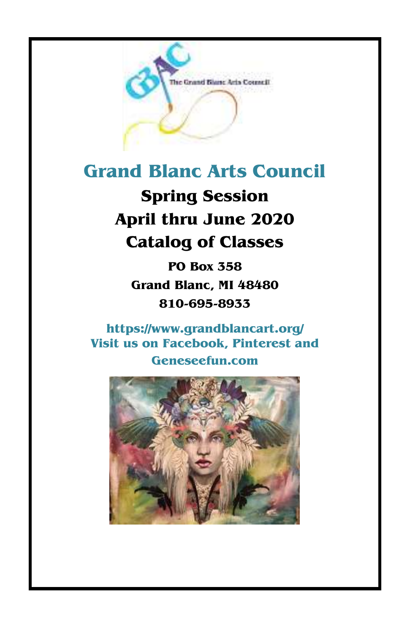

## **Grand Blanc Arts Council**

**Spring Session April thru June 2020 Catalog of Classes**

**PO Box 358 Grand Blanc, MI 48480 810-695-8933**

**<https://www.grandblancart.org/> [Visit](https://www.pinterest.com/grandblancartscouncil/) us on Facebook, Pinterest and Geneseefun.com**

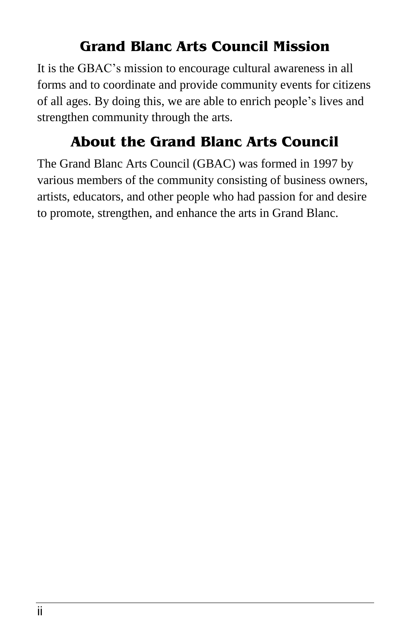### **Grand Blanc Arts Council Mission**

<span id="page-1-0"></span>It is the GBAC's mission to encourage cultural awareness in all forms and to coordinate and provide community events for citizens of all ages. By doing this, we are able to enrich people's lives and strengthen community through the arts.

### **About the Grand Blanc Arts Council**

<span id="page-1-1"></span>The Grand Blanc Arts Council (GBAC) was formed in 1997 by various members of the community consisting of business owners, artists, educators, and other people who had passion for and desire to promote, strengthen, and enhance the arts in Grand Blanc.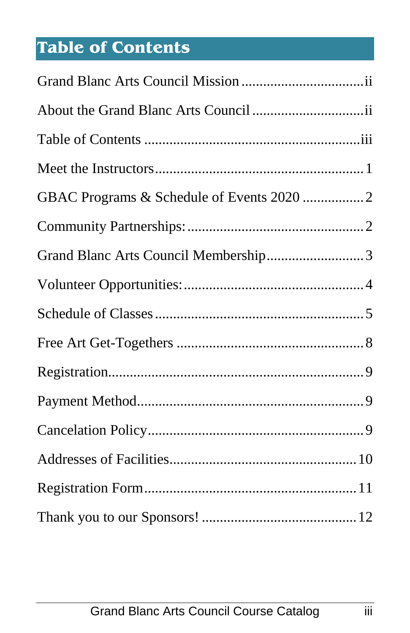# <span id="page-2-0"></span>**Table of Contents**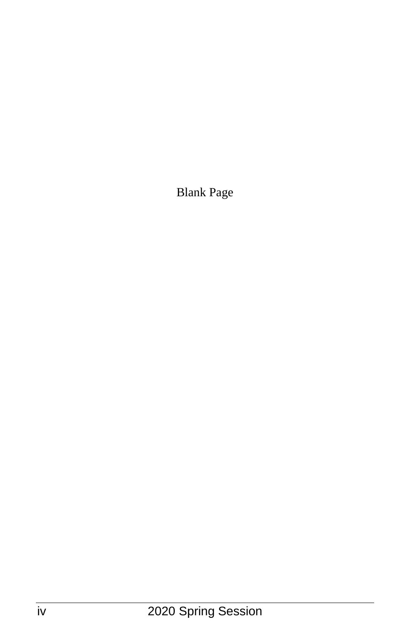Blank Page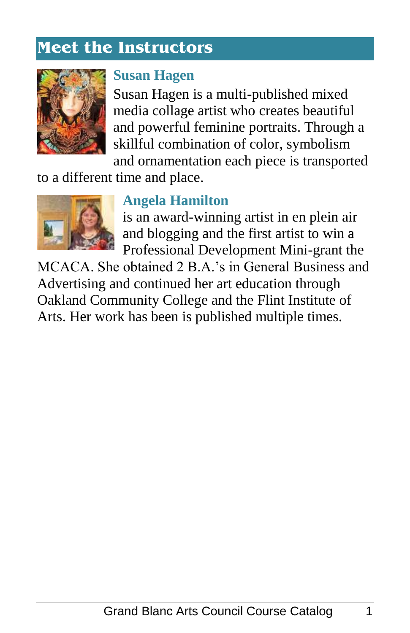### <span id="page-4-0"></span>**Meet the Instructors**



#### **Susan Hagen**

Susan Hagen is a multi-published mixed media collage artist who creates beautiful and powerful feminine portraits. Through a skillful combination of color, symbolism and ornamentation each piece is transported

to a different time and place.



#### **Angela Hamilton**

is an award-winning artist in en plein air and blogging and the first artist to win a Professional Development Mini-grant the

MCACA. She obtained 2 B.A.'s in General Business and Advertising and continued her art education through Oakland Community College and the Flint Institute of Arts. Her work has been is published multiple times.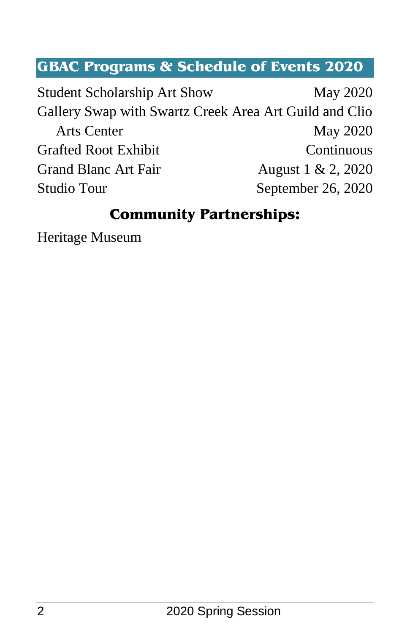#### <span id="page-5-0"></span>**GBAC Programs & Schedule of Events 2020**

Student Scholarship Art Show May 2020 Gallery Swap with Swartz Creek Area Art Guild and Clio Arts Center May 2020 Grafted Root Exhibit Continuous Grand Blanc Art Fair August 1 & 2, 2020 Studio Tour September 26, 2020

#### **Community Partnerships:**

<span id="page-5-1"></span>Heritage Museum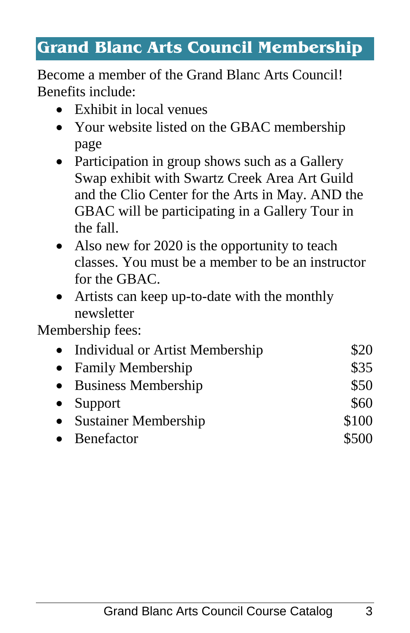### <span id="page-6-0"></span>**Grand Blanc Arts Council Membership**

Become a member of the Grand Blanc Arts Council! Benefits include:

- Exhibit in local venues
- Your website listed on the GBAC membership page
- Participation in group shows such as a Gallery Swap exhibit with Swartz Creek Area Art Guild and the Clio Center for the Arts in May. AND the GBAC will be participating in a Gallery Tour in the fall.
- Also new for 2020 is the opportunity to teach classes. You must be a member to be an instructor for the GBAC.
- Artists can keep up-to-date with the monthly newsletter

Membership fees:

| • Individual or Artist Membership | \$20  |
|-----------------------------------|-------|
| • Family Membership               | \$35  |
| • Business Membership             | \$50  |
| $\bullet$ Support                 | \$60  |
| • Sustainer Membership            | \$100 |
| • Benefactor                      | \$500 |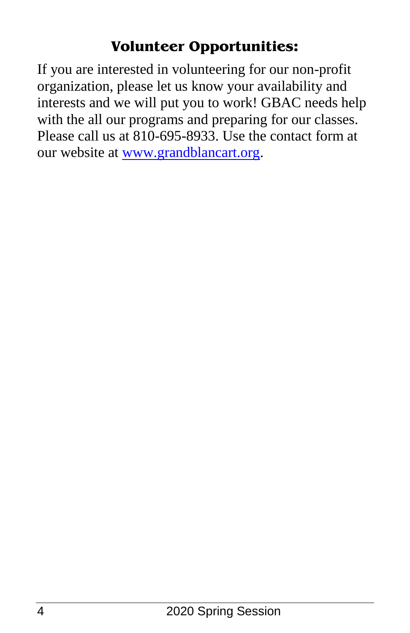### **Volunteer Opportunities:**

<span id="page-7-0"></span>If you are interested in volunteering for our non-profit organization, please let us know your availability and interests and we will put you to work! GBAC needs help with the all our programs and preparing for our classes. Please call us at 810-695-8933. Use the contact form at our website at [www.grandblancart.org.](http://www.grandblancart.org/)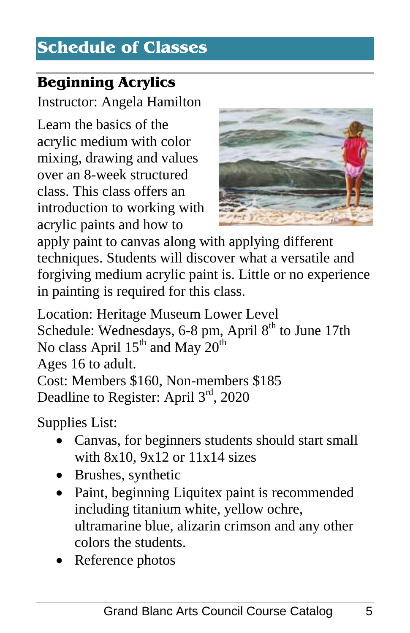# <span id="page-8-0"></span>**Schedule of Classes**

### **Beginning Acrylics**

Instructor: Angela Hamilton

Learn the basics of the acrylic medium with color mixing, drawing and values over an 8-week structured class. This class offers an introduction to working with acrylic paints and how to



apply paint to canvas along with applying different techniques. Students will discover what a versatile and forgiving medium acrylic paint is. Little or no experience in painting is required for this class.

Location: Heritage Museum Lower Level Schedule: Wednesdays, 6-8 pm, April 8<sup>th</sup> to June 17th No class April  $15<sup>th</sup>$  and May  $20<sup>th</sup>$ Ages 16 to adult. Cost: Members \$160, Non-members \$185 Deadline to Register: April 3<sup>rd</sup>, 2020

Supplies List:

- Canvas, for beginners students should start small with 8x10, 9x12 or 11x14 sizes
- Brushes, synthetic
- Paint, beginning Liquitex paint is recommended including titanium white, yellow ochre, ultramarine blue, alizarin crimson and any other colors the students.
- Reference photos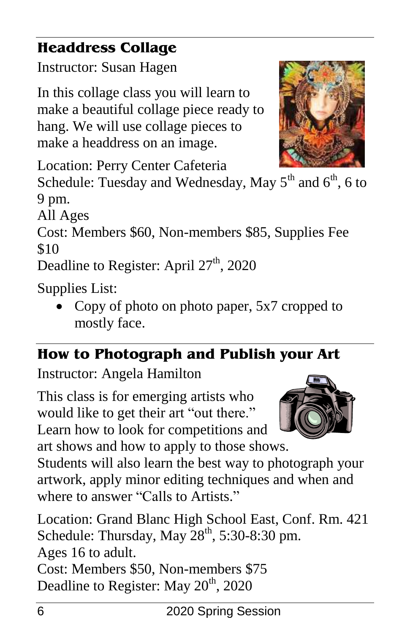### **Headdress Collage**

Instructor: Susan Hagen

In this collage class you will learn to make a beautiful collage piece ready to hang. We will use collage pieces to make a headdress on an image.

Location: Perry Center Cafeteria

Schedule: Tuesday and Wednesday, May  $5<sup>th</sup>$  and  $6<sup>th</sup>$ , 6 to 9 pm.

All Ages

Cost: Members \$60, Non-members \$85, Supplies Fee \$10

Deadline to Register: April  $27<sup>th</sup>$ , 2020

Supplies List:

 Copy of photo on photo paper, 5x7 cropped to mostly face.

### **How to Photograph and Publish your Art**

Instructor: Angela Hamilton

This class is for emerging artists who would like to get their art "out there." Learn how to look for competitions and art shows and how to apply to those shows.

Students will also learn the best way to photograph your artwork, apply minor editing techniques and when and where to answer "Calls to Artists."

Location: Grand Blanc High School East, Conf. Rm. 421 Schedule: Thursday, May  $28<sup>th</sup>$ , 5:30-8:30 pm. Ages 16 to adult.

Cost: Members \$50, Non-members \$75 Deadline to Register: May  $20<sup>th</sup>$ , 2020



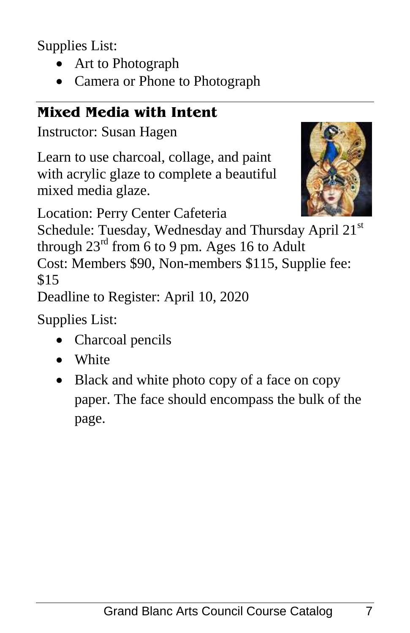Supplies List:

- Art to Photograph
- Camera or Phone to Photograph

### **Mixed Media with Intent**

Instructor: Susan Hagen

Learn to use charcoal, collage, and paint with acrylic glaze to complete a beautiful mixed media glaze.



Location: Perry Center Cafeteria

Schedule: Tuesday, Wednesday and Thursday April 21<sup>st</sup> through  $23^{rd}$  from 6 to 9 pm. Ages 16 to Adult Cost: Members \$90, Non-members \$115, Supplie fee: \$15

Deadline to Register: April 10, 2020

Supplies List:

- Charcoal pencils
- White
- Black and white photo copy of a face on copy paper. The face should encompass the bulk of the page.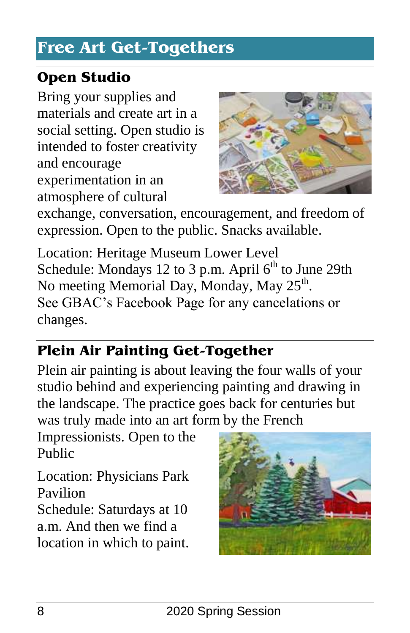# <span id="page-11-0"></span>**Free Art Get-Togethers**

## **Open Studio**

Bring your supplies and materials and create art in a social setting. Open studio is intended to foster creativity and encourage experimentation in an atmosphere of cultural



exchange, conversation, encouragement, and freedom of expression. Open to the public. Snacks available.

Location: Heritage Museum Lower Level Schedule: Mondays 12 to 3 p.m. April  $6<sup>th</sup>$  to June 29th No meeting Memorial Day, Monday, May 25<sup>th</sup>. See GBAC's Facebook Page for any cancelations or changes.

### **Plein Air Painting Get-Together**

Plein air painting is about leaving the four walls of your studio behind and experiencing painting and drawing in the landscape. The practice goes back for centuries but was truly made into an art form by the French

Impressionists. Open to the Public

Location: Physicians Park Pavilion Schedule: Saturdays at 10 a.m. And then we find a location in which to paint.

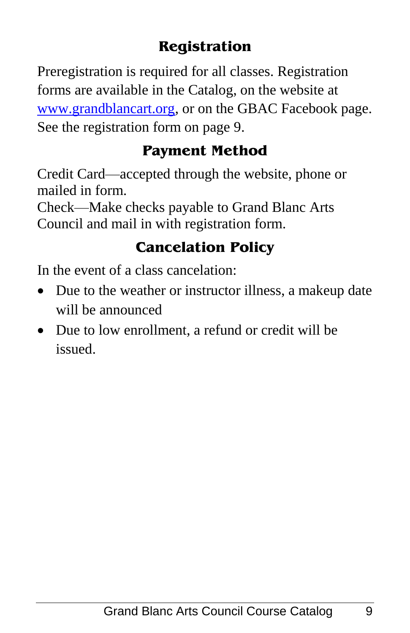### **Registration**

<span id="page-12-0"></span>Preregistration is required for all classes. Registration forms are available in the Catalog, on the website at [www.grandblancart.org,](http://www.grandblancart.org/) or on the GBAC Facebook page. See the registration form on page 9.

### **Payment Method**

<span id="page-12-1"></span>Credit Card—accepted through the website, phone or mailed in form.

Check—Make checks payable to Grand Blanc Arts Council and mail in with registration form.

## **Cancelation Policy**

<span id="page-12-2"></span>In the event of a class cancelation:

- Due to the weather or instructor illness, a makeup date will be announced
- Due to low enrollment, a refund or credit will be issued.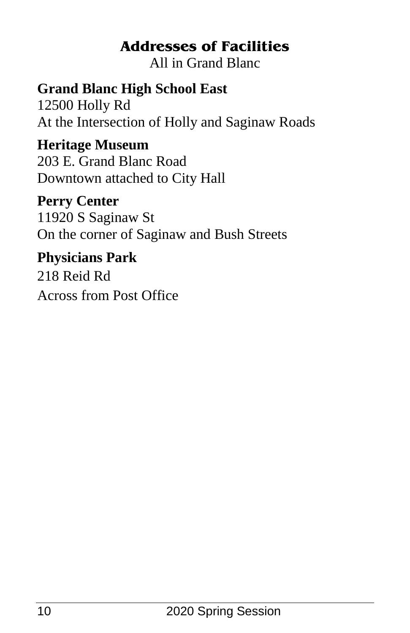## **Addresses of Facilities**

All in Grand Blanc

### <span id="page-13-0"></span>**Grand Blanc High School East**

12500 Holly Rd At the Intersection of Holly and Saginaw Roads

#### **Heritage Museum** 203 E. Grand Blanc Road Downtown attached to City Hall

**Perry Center** 11920 S Saginaw St On the corner of Saginaw and Bush Streets

### **Physicians Park** 218 Reid Rd Across from Post Office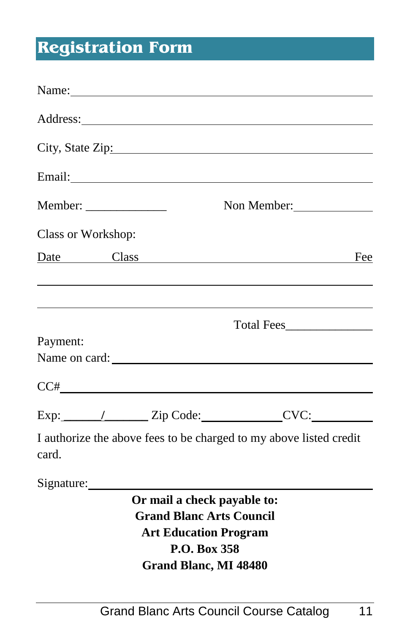# <span id="page-14-0"></span>**Registration Form**

|                    | Name: Name and the state of the state of the state of the state of the state of the state of the state of the state of the state of the state of the state of the state of the state of the state of the state of the state of      |                                                                    |
|--------------------|-------------------------------------------------------------------------------------------------------------------------------------------------------------------------------------------------------------------------------------|--------------------------------------------------------------------|
|                    | Address: <u>example</u> and the contract of the contract of the contract of the contract of the contract of the contract of the contract of the contract of the contract of the contract of the contract of the contract of the con |                                                                    |
|                    |                                                                                                                                                                                                                                     | City, State Zip:                                                   |
|                    |                                                                                                                                                                                                                                     |                                                                    |
|                    |                                                                                                                                                                                                                                     | Non Member:                                                        |
| Class or Workshop: |                                                                                                                                                                                                                                     |                                                                    |
|                    |                                                                                                                                                                                                                                     | Date Class<br>Fee                                                  |
| Payment:           |                                                                                                                                                                                                                                     | Total Fees<br>Name on card:                                        |
|                    | CC#                                                                                                                                                                                                                                 |                                                                    |
|                    |                                                                                                                                                                                                                                     | Exp: / Zip Code: CVC:                                              |
| card.              |                                                                                                                                                                                                                                     | I authorize the above fees to be charged to my above listed credit |
| Signature:         |                                                                                                                                                                                                                                     |                                                                    |
|                    | Or mail a check payable to:<br><b>Grand Blanc Arts Council</b><br><b>Art Education Program</b><br>P.O. Box 358<br><b>Grand Blanc, MI 48480</b>                                                                                      |                                                                    |